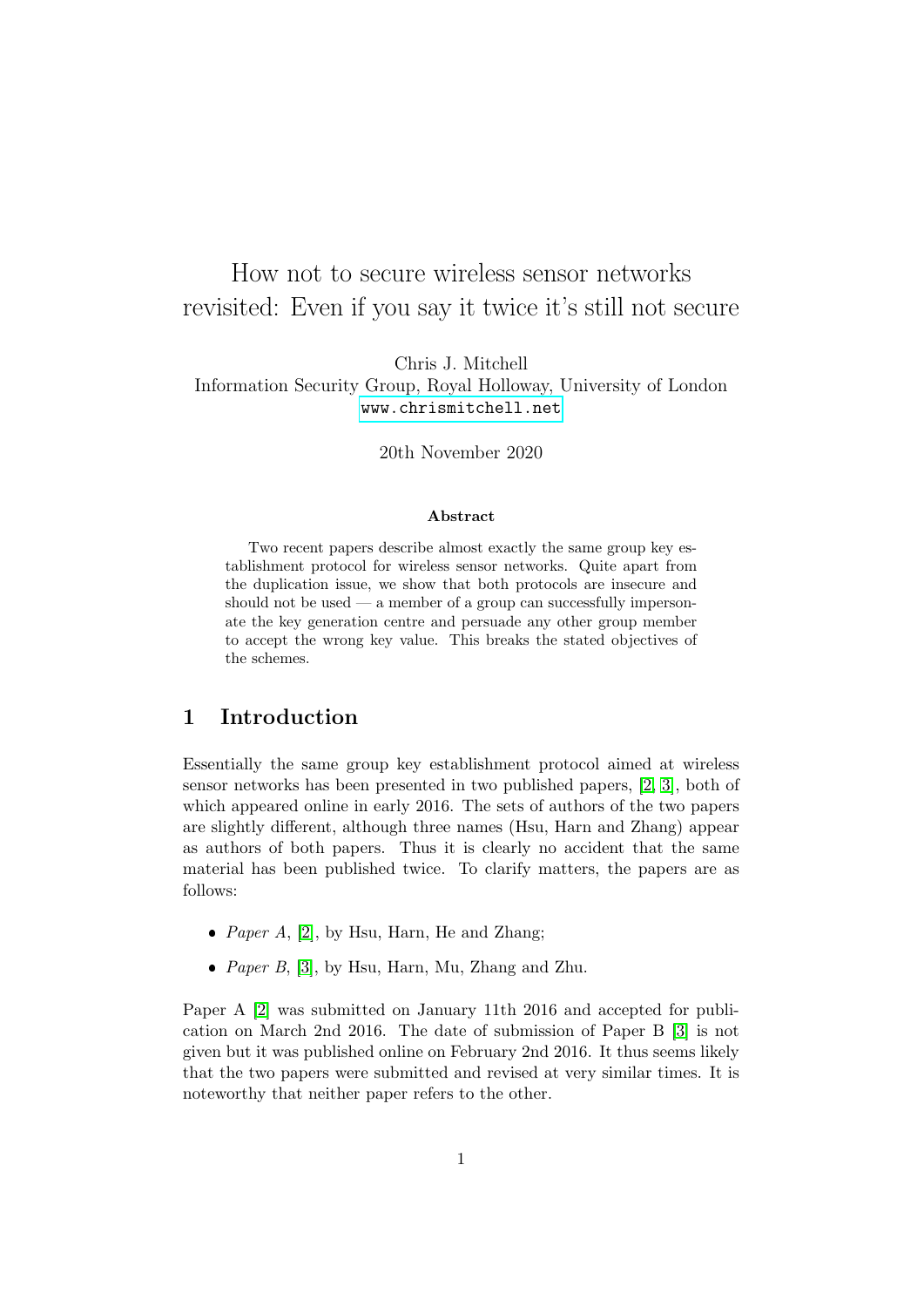# How not to secure wireless sensor networks revisited: Even if you say it twice it's still not secure

Chris J. Mitchell Information Security Group, Royal Holloway, University of London <www.chrismitchell.net>

20th November 2020

#### Abstract

Two recent papers describe almost exactly the same group key establishment protocol for wireless sensor networks. Quite apart from the duplication issue, we show that both protocols are insecure and should not be used — a member of a group can successfully impersonate the key generation centre and persuade any other group member to accept the wrong key value. This breaks the stated objectives of the schemes.

## 1 Introduction

Essentially the same group key establishment protocol aimed at wireless sensor networks has been presented in two published papers, [\[2,](#page-4-0) [3\]](#page-4-1), both of which appeared online in early 2016. The sets of authors of the two papers are slightly different, although three names (Hsu, Harn and Zhang) appear as authors of both papers. Thus it is clearly no accident that the same material has been published twice. To clarify matters, the papers are as follows:

- *Paper A*, [\[2\]](#page-4-0), by Hsu, Harn, He and Zhang;
- *Paper B*, [\[3\]](#page-4-1), by Hsu, Harn, Mu, Zhang and Zhu.

Paper A [\[2\]](#page-4-0) was submitted on January 11th 2016 and accepted for publication on March 2nd 2016. The date of submission of Paper B [\[3\]](#page-4-1) is not given but it was published online on February 2nd 2016. It thus seems likely that the two papers were submitted and revised at very similar times. It is noteworthy that neither paper refers to the other.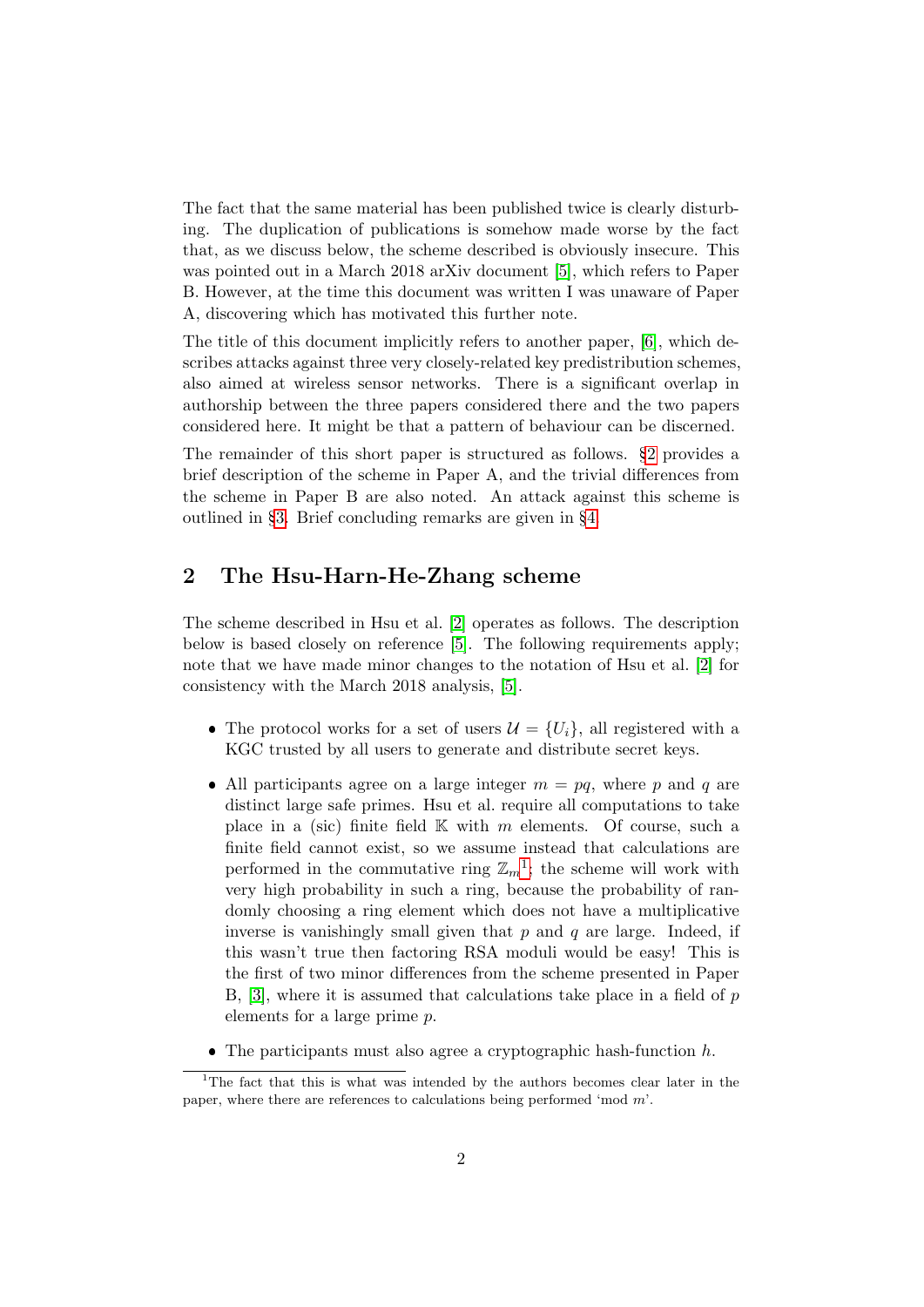The fact that the same material has been published twice is clearly disturbing. The duplication of publications is somehow made worse by the fact that, as we discuss below, the scheme described is obviously insecure. This was pointed out in a March 2018 arXiv document [\[5\]](#page-4-2), which refers to Paper B. However, at the time this document was written I was unaware of Paper A, discovering which has motivated this further note.

The title of this document implicitly refers to another paper, [\[6\]](#page-4-3), which describes attacks against three very closely-related key predistribution schemes, also aimed at wireless sensor networks. There is a significant overlap in authorship between the three papers considered there and the two papers considered here. It might be that a pattern of behaviour can be discerned.

The remainder of this short paper is structured as follows. §[2](#page-1-0) provides a brief description of the scheme in Paper A, and the trivial differences from the scheme in Paper B are also noted. An attack against this scheme is outlined in §[3.](#page-3-0) Brief concluding remarks are given in §[4.](#page-3-1)

# <span id="page-1-0"></span>2 The Hsu-Harn-He-Zhang scheme

The scheme described in Hsu et al. [\[2\]](#page-4-0) operates as follows. The description below is based closely on reference [\[5\]](#page-4-2). The following requirements apply; note that we have made minor changes to the notation of Hsu et al. [\[2\]](#page-4-0) for consistency with the March 2018 analysis, [\[5\]](#page-4-2).

- The protocol works for a set of users  $\mathcal{U} = \{U_i\}$ , all registered with a KGC trusted by all users to generate and distribute secret keys.
- All participants agree on a large integer  $m = pq$ , where p and q are distinct large safe primes. Hsu et al. require all computations to take place in a (sic) finite field  $\mathbb K$  with m elements. Of course, such a finite field cannot exist, so we assume instead that calculations are performed in the commutative ring  $\mathbb{Z}_m^1$  $\mathbb{Z}_m^1$ ; the scheme will work with very high probability in such a ring, because the probability of randomly choosing a ring element which does not have a multiplicative inverse is vanishingly small given that  $p$  and  $q$  are large. Indeed, if this wasn't true then factoring RSA moduli would be easy! This is the first of two minor differences from the scheme presented in Paper B,  $[3]$ , where it is assumed that calculations take place in a field of p elements for a large prime p.
- <span id="page-1-1"></span> $\bullet$  The participants must also agree a cryptographic hash-function  $h$ .

<sup>&</sup>lt;sup>1</sup>The fact that this is what was intended by the authors becomes clear later in the paper, where there are references to calculations being performed 'mod m'.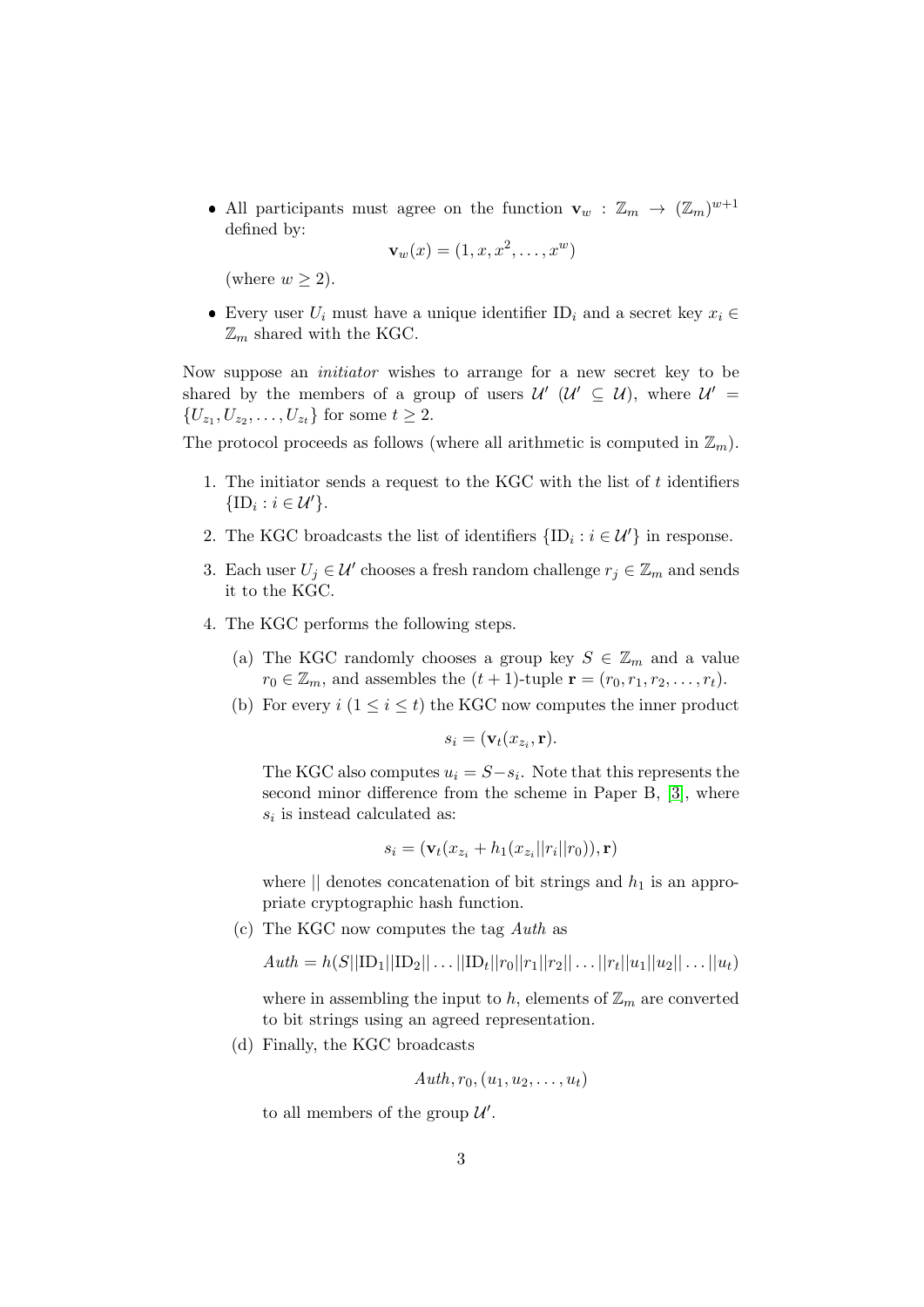• All participants must agree on the function  $\mathbf{v}_w : \mathbb{Z}_m \to (\mathbb{Z}_m)^{w+1}$ defined by:

$$
\mathbf{v}_w(x) = (1, x, x^2, \dots, x^w)
$$

(where  $w \geq 2$ ).

• Every user  $U_i$  must have a unique identifier ID<sub>i</sub> and a secret key  $x_i$  ∈  $\mathbb{Z}_m$  shared with the KGC.

Now suppose an initiator wishes to arrange for a new secret key to be shared by the members of a group of users  $\mathcal{U}'$  ( $\mathcal{U}' \subseteq \mathcal{U}$ ), where  $\mathcal{U}' =$  $\{U_{z_1}, U_{z_2}, \ldots, U_{z_t}\}\text{ for some }t\geq 2.$ 

The protocol proceeds as follows (where all arithmetic is computed in  $\mathbb{Z}_m$ ).

- 1. The initiator sends a request to the KGC with the list of  $t$  identifiers  $\{\mathrm{ID}_i : i \in \mathcal{U}'\}.$
- 2. The KGC broadcasts the list of identifiers  $\{ID_i : i \in \mathcal{U}'\}$  in response.
- 3. Each user  $U_j \in \mathcal{U}'$  chooses a fresh random challenge  $r_j \in \mathbb{Z}_m$  and sends it to the KGC.
- 4. The KGC performs the following steps.
	- (a) The KGC randomly chooses a group key  $S \in \mathbb{Z}_m$  and a value  $r_0 \in \mathbb{Z}_m$ , and assembles the  $(t + 1)$ -tuple  $\mathbf{r} = (r_0, r_1, r_2, \dots, r_t)$ .
	- (b) For every  $i$   $(1 \leq i \leq t)$  the KGC now computes the inner product

$$
s_i = (\mathbf{v}_t(x_{z_i}, \mathbf{r}).
$$

The KGC also computes  $u_i = S - s_i$ . Note that this represents the second minor difference from the scheme in Paper B, [\[3\]](#page-4-1), where  $s_i$  is instead calculated as:

$$
s_i = (\mathbf{v}_t(x_{z_i} + h_1(x_{z_i}||r_i||r_0)), \mathbf{r})
$$

where  $||$  denotes concatenation of bit strings and  $h_1$  is an appropriate cryptographic hash function.

(c) The KGC now computes the tag Auth as

$$
Auth = h(S||ID_1||ID_2||...||ID_t||r_0||r_1||r_2||...||r_t||u_1||u_2||...||u_t)
$$

where in assembling the input to h, elements of  $\mathbb{Z}_m$  are converted to bit strings using an agreed representation.

(d) Finally, the KGC broadcasts

$$
Auth, r_0, (u_1, u_2, \ldots, u_t)
$$

to all members of the group  $\mathcal{U}'$ .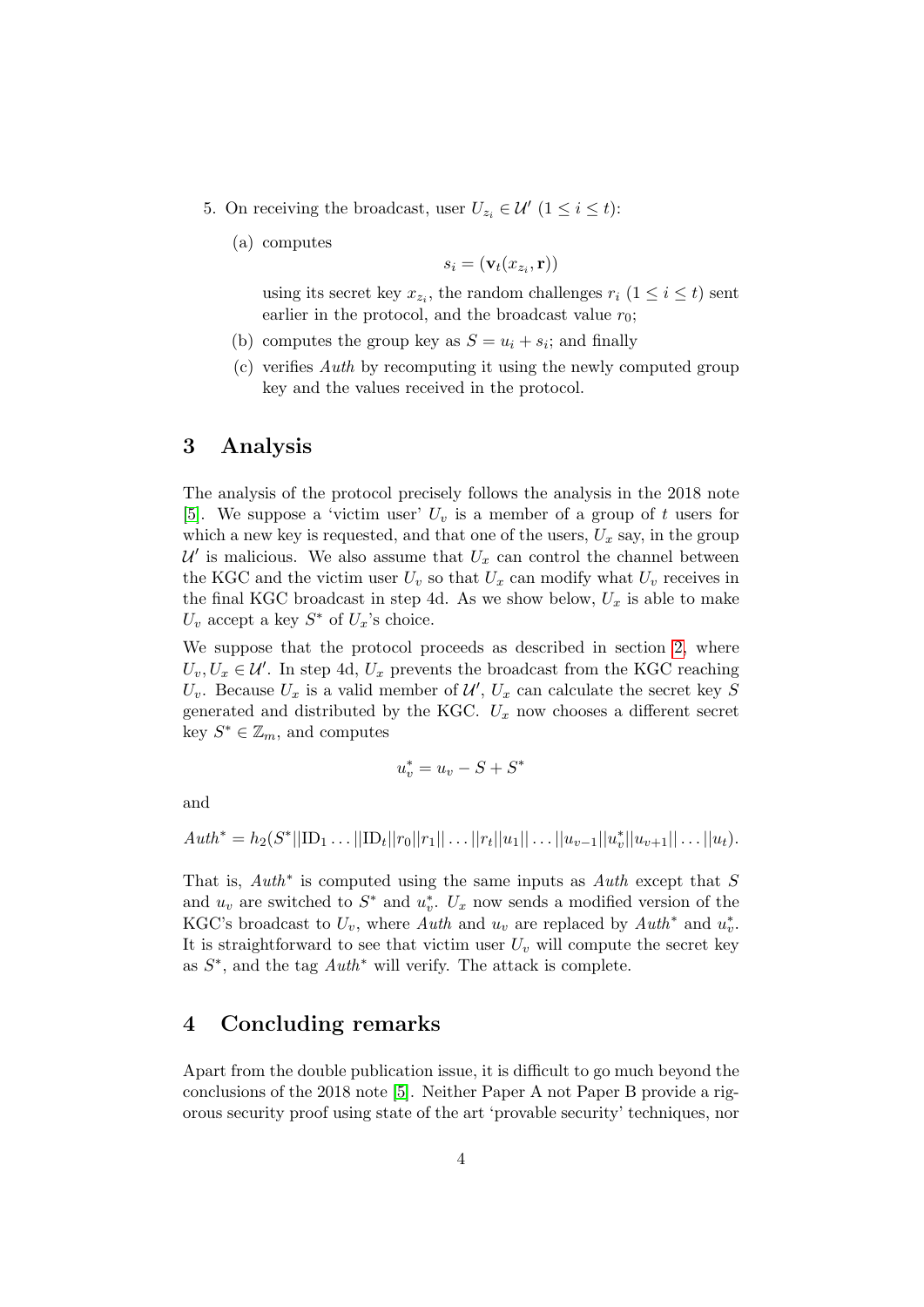- 5. On receiving the broadcast, user  $U_{z_i} \in \mathcal{U}'$   $(1 \leq i \leq t)$ :
	- (a) computes

$$
s_i = (\mathbf{v}_t(x_{z_i}, \mathbf{r}))
$$

using its secret key  $x_{z_i}$ , the random challenges  $r_i$   $(1 \leq i \leq t)$  sent earlier in the protocol, and the broadcast value  $r_0$ ;

- (b) computes the group key as  $S = u_i + s_i$ ; and finally
- (c) verifies Auth by recomputing it using the newly computed group key and the values received in the protocol.

## <span id="page-3-0"></span>3 Analysis

The analysis of the protocol precisely follows the analysis in the 2018 note [\[5\]](#page-4-2). We suppose a 'victim user'  $U_v$  is a member of a group of t users for which a new key is requested, and that one of the users,  $U_x$  say, in the group  $\mathcal{U}'$  is malicious. We also assume that  $U_x$  can control the channel between the KGC and the victim user  $U_v$  so that  $U_x$  can modify what  $U_v$  receives in the final KGC broadcast in step 4d. As we show below,  $U_x$  is able to make  $U_v$  accept a key  $S^*$  of  $U_x$ 's choice.

We suppose that the protocol proceeds as described in section [2,](#page-1-0) where  $U_v, U_x \in \mathcal{U}'$ . In step 4d,  $U_x$  prevents the broadcast from the KGC reaching  $U_v$ . Because  $U_x$  is a valid member of  $\mathcal{U}'$ ,  $U_x$  can calculate the secret key S generated and distributed by the KGC.  $U_x$  now chooses a different secret key  $S^* \in \mathbb{Z}_m$ , and computes

$$
u_v^* = u_v - S + S^*
$$

and

$$
Auth^* = h_2(S^*||ID_1 \dots ||ID_t||r_0||r_1|| \dots ||r_t||u_1|| \dots ||u_{v-1}||u_v^*||u_{v+1}|| \dots ||u_t).
$$

That is,  $Auth^*$  is computed using the same inputs as  $Auth$  except that S and  $u_v$  are switched to  $S^*$  and  $u_v^*$ .  $U_x$  now sends a modified version of the KGC's broadcast to  $U_v$ , where Auth and  $u_v$  are replaced by Auth<sup>\*</sup> and  $u_v^*$ . It is straightforward to see that victim user  $U<sub>v</sub>$  will compute the secret key as  $S^*$ , and the tag  $Auth^*$  will verify. The attack is complete.

## <span id="page-3-1"></span>4 Concluding remarks

Apart from the double publication issue, it is difficult to go much beyond the conclusions of the 2018 note [\[5\]](#page-4-2). Neither Paper A not Paper B provide a rigorous security proof using state of the art 'provable security' techniques, nor